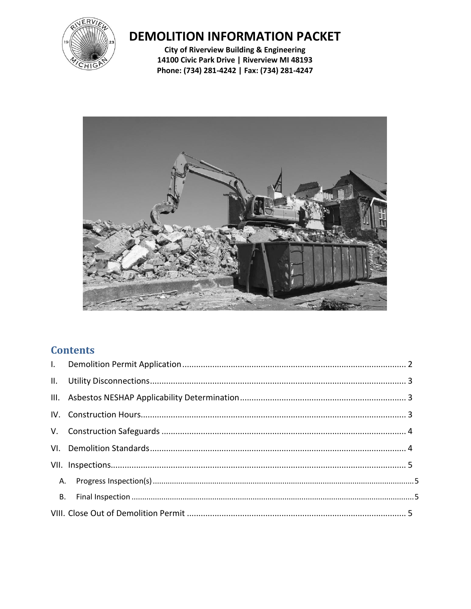

# **DEMOLITION INFORMATION PACKET**

**City of Riverview Building & Engineering** 14100 Civic Park Drive | Riverview MI 48193 Phone: (734) 281-4242 | Fax: (734) 281-4247



## **Contents**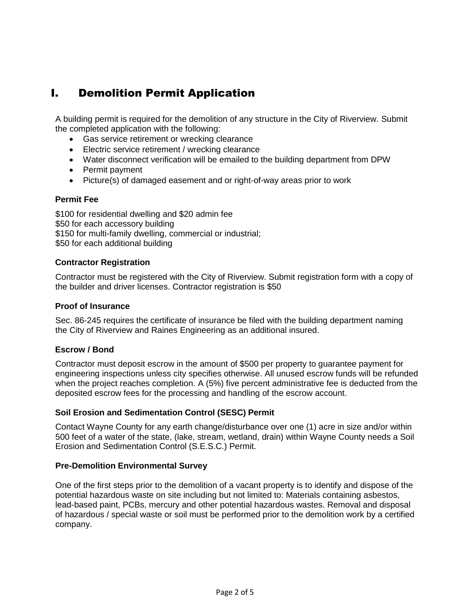## <span id="page-1-0"></span>I. Demolition Permit Application

A building permit is required for the demolition of any structure in the City of Riverview. Submit the completed application with the following:

- Gas service retirement or wrecking clearance
- Electric service retirement / wrecking clearance
- Water disconnect verification will be emailed to the building department from DPW
- Permit payment
- Picture(s) of damaged easement and or right-of-way areas prior to work

#### **Permit Fee**

\$100 for residential dwelling and \$20 admin fee \$50 for each accessory building \$150 for multi-family dwelling, commercial or industrial; \$50 for each additional building

#### **Contractor Registration**

Contractor must be registered with the City of Riverview. Submit registration form with a copy of the builder and driver licenses. Contractor registration is \$50

#### **Proof of Insurance**

Sec. 86-245 requires the certificate of insurance be filed with the building department naming the City of Riverview and Raines Engineering as an additional insured.

#### **Escrow / Bond**

Contractor must deposit escrow in the amount of \$500 per property to guarantee payment for engineering inspections unless city specifies otherwise. All unused escrow funds will be refunded when the project reaches completion. A (5%) five percent administrative fee is deducted from the deposited escrow fees for the processing and handling of the escrow account.

#### **Soil Erosion and Sedimentation Control (SESC) Permit**

Contact Wayne County for any earth change/disturbance over one (1) acre in size and/or within 500 feet of a water of the state, (lake, stream, wetland, drain) within Wayne County needs a Soil Erosion and Sedimentation Control (S.E.S.C.) Permit.

#### **Pre-Demolition Environmental Survey**

One of the first steps prior to the demolition of a vacant property is to identify and dispose of the potential hazardous waste on site including but not limited to: Materials containing asbestos, lead-based paint, PCBs, mercury and other potential hazardous wastes. Removal and disposal of hazardous / special waste or soil must be performed prior to the demolition work by a certified company.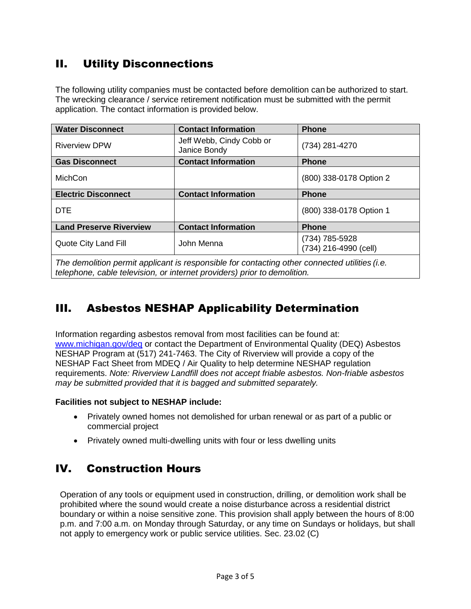## <span id="page-2-0"></span>II. Utility Disconnections

The following utility companies must be contacted before demolition can be authorized to start. The wrecking clearance / service retirement notification must be submitted with the permit application. The contact information is provided below.

| <b>Water Disconnect</b>        | <b>Contact Information</b>               | <b>Phone</b>                            |  |  |
|--------------------------------|------------------------------------------|-----------------------------------------|--|--|
| <b>Riverview DPW</b>           | Jeff Webb, Cindy Cobb or<br>Janice Bondy | (734) 281-4270                          |  |  |
| <b>Gas Disconnect</b>          | <b>Contact Information</b>               | <b>Phone</b>                            |  |  |
| <b>MichCon</b>                 |                                          | (800) 338-0178 Option 2                 |  |  |
| <b>Electric Disconnect</b>     | <b>Contact Information</b>               | <b>Phone</b>                            |  |  |
| <b>DTE</b>                     |                                          | (800) 338-0178 Option 1                 |  |  |
| <b>Land Preserve Riverview</b> | <b>Contact Information</b>               | <b>Phone</b>                            |  |  |
| Quote City Land Fill           | John Menna                               | (734) 785-5928<br>(734) 216-4990 (cell) |  |  |
|                                |                                          |                                         |  |  |

*The demolition permit applicant is responsible for contacting other connected utilities (i.e. telephone, cable television, or internet providers) prior to demolition.*

## <span id="page-2-1"></span>III. Asbestos NESHAP Applicability Determination

Information regarding asbestos removal from most facilities can be found at: [www.michigan.gov/deq](http://www.michigan.gov/deq) or contact the Department of Environmental Quality (DEQ) Asbestos NESHAP Program at (517) 241-7463. The City of Riverview will provide a copy of the NESHAP Fact Sheet from MDEQ / Air Quality to help determine NESHAP regulation requirements. *Note: Riverview Landfill does not accept friable asbestos. Non-friable asbestos may be submitted provided that it is bagged and submitted separately.*

#### **Facilities not subject to NESHAP include:**

- Privately owned homes not demolished for urban renewal or as part of a public or commercial project
- <span id="page-2-2"></span>Privately owned multi-dwelling units with four or less dwelling units

## IV. Construction Hours

Operation of any tools or equipment used in construction, drilling, or demolition work shall be prohibited where the sound would create a noise disturbance across a residential district boundary or within a noise sensitive zone. This provision shall apply between the hours of 8:00 p.m. and 7:00 a.m. on Monday through Saturday, or any time on Sundays or holidays, but shall not apply to emergency work or public service utilities. Sec. 23.02 (C)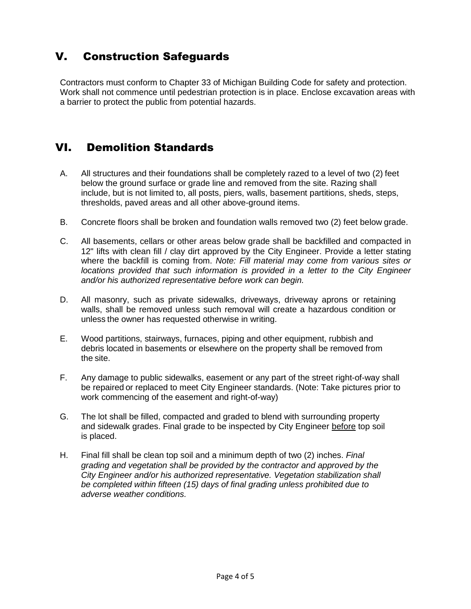## <span id="page-3-0"></span>V. Construction Safeguards

Contractors must conform to Chapter 33 of Michigan Building Code for safety and protection. Work shall not commence until pedestrian protection is in place. Enclose excavation areas with a barrier to protect the public from potential hazards.

### <span id="page-3-1"></span>VI. Demolition Standards

- A. All structures and their foundations shall be completely razed to a level of two (2) feet below the ground surface or grade line and removed from the site. Razing shall include, but is not limited to, all posts, piers, walls, basement partitions, sheds, steps, thresholds, paved areas and all other above-ground items.
- B. Concrete floors shall be broken and foundation walls removed two (2) feet below grade.
- C. All basements, cellars or other areas below grade shall be backfilled and compacted in 12" lifts with clean fill / clay dirt approved by the City Engineer. Provide a letter stating where the backfill is coming from. *Note: Fill material may come from various sites or*  locations provided that such information is provided in a letter to the City Engineer *and/or his authorized representative before work can begin.*
- D. All masonry, such as private sidewalks, driveways, driveway aprons or retaining walls, shall be removed unless such removal will create a hazardous condition or unless the owner has requested otherwise in writing.
- E. Wood partitions, stairways, furnaces, piping and other equipment, rubbish and debris located in basements or elsewhere on the property shall be removed from the site.
- F. Any damage to public sidewalks, easement or any part of the street right-of-way shall be repaired or replaced to meet City Engineer standards. (Note: Take pictures prior to work commencing of the easement and right-of-way)
- G. The lot shall be filled, compacted and graded to blend with surrounding property and sidewalk grades. Final grade to be inspected by City Engineer before top soil is placed.
- H. Final fill shall be clean top soil and a minimum depth of two (2) inches. *Final grading and vegetation shall be provided by the contractor and approved by the City Engineer and/or his authorized representative. Vegetation stabilization shall be completed within fifteen (15) days of final grading unless prohibited due to adverse weather conditions.*